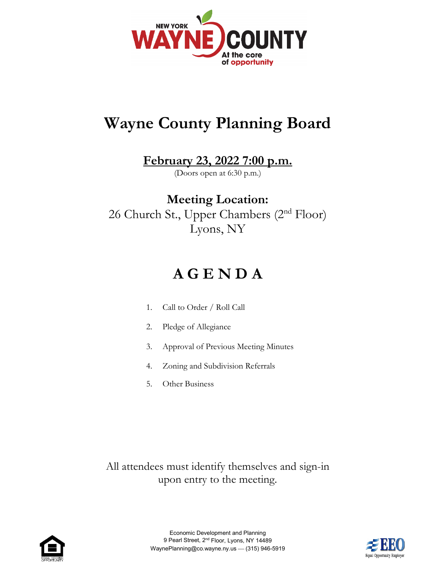

# **Wayne County Planning Board**

### **February 23, 2022 7:00 p.m.**

(Doors open at 6:30 p.m.)

### **Meeting Location:** 26 Church St., Upper Chambers (2<sup>nd</sup> Floor) Lyons, NY

## **A G E N D A**

- 1. Call to Order / Roll Call
- 2. Pledge of Allegiance
- 3. Approval of Previous Meeting Minutes
- 4. Zoning and Subdivision Referrals
- 5. Other Business

All attendees must identify themselves and sign-in upon entry to the meeting.